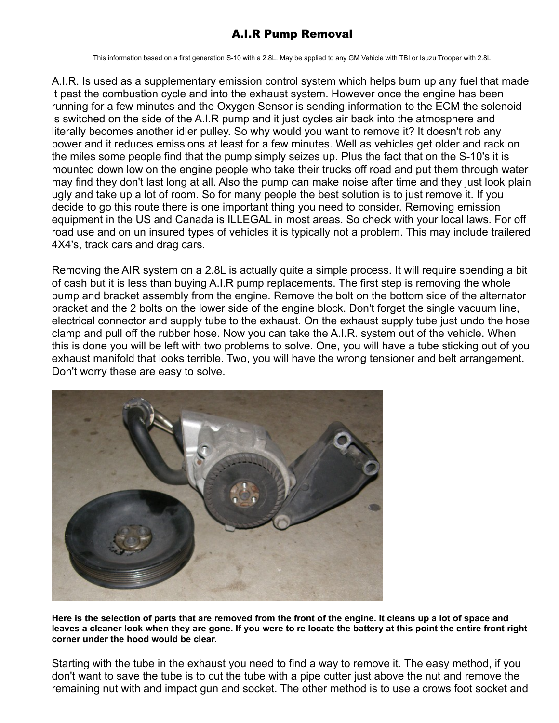## A.I.R Pump Removal

This information based on a first generation S-10 with a 2.8L. May be applied to any GM Vehicle with TBI or Isuzu Trooper with 2.8L

A.I.R. Is used as a supplementary emission control system which helps burn up any fuel that made it past the combustion cycle and into the exhaust system. However once the engine has been running for a few minutes and the Oxygen Sensor is sending information to the ECM the solenoid is switched on the side of the A.I.R pump and it just cycles air back into the atmosphere and literally becomes another idler pulley. So why would you want to remove it? It doesn't rob any power and it reduces emissions at least for a few minutes. Well as vehicles get older and rack on the miles some people find that the pump simply seizes up. Plus the fact that on the S-10's it is mounted down low on the engine people who take their trucks off road and put them through water may find they don't last long at all. Also the pump can make noise after time and they just look plain ugly and take up a lot of room. So for many people the best solution is to just remove it. If you decide to go this route there is one important thing you need to consider. Removing emission equipment in the US and Canada is ILLEGAL in most areas. So check with your local laws. For off road use and on un insured types of vehicles it is typically not a problem. This may include trailered 4X4's, track cars and drag cars.

Removing the AIR system on a 2.8L is actually quite a simple process. It will require spending a bit of cash but it is less than buying A.I.R pump replacements. The first step is removing the whole pump and bracket assembly from the engine. Remove the bolt on the bottom side of the alternator bracket and the 2 bolts on the lower side of the engine block. Don't forget the single vacuum line, electrical connector and supply tube to the exhaust. On the exhaust supply tube just undo the hose clamp and pull off the rubber hose. Now you can take the A.I.R. system out of the vehicle. When this is done you will be left with two problems to solve. One, you will have a tube sticking out of you exhaust manifold that looks terrible. Two, you will have the wrong tensioner and belt arrangement. Don't worry these are easy to solve.



**Here is the selection of parts that are removed from the front of the engine. It cleans up a lot of space and leaves a cleaner look when they are gone. If you were to re locate the battery at this point the entire front right corner under the hood would be clear.**

Starting with the tube in the exhaust you need to find a way to remove it. The easy method, if you don't want to save the tube is to cut the tube with a pipe cutter just above the nut and remove the remaining nut with and impact gun and socket. The other method is to use a crows foot socket and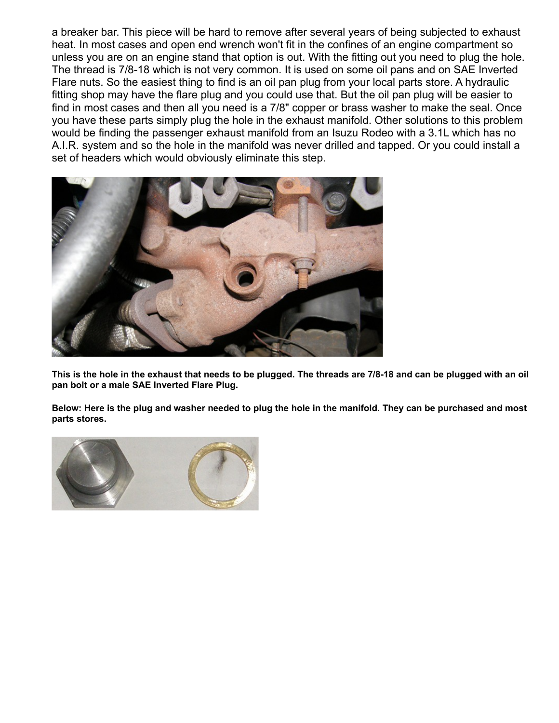a breaker bar. This piece will be hard to remove after several years of being subjected to exhaust heat. In most cases and open end wrench won't fit in the confines of an engine compartment so unless you are on an engine stand that option is out. With the fitting out you need to plug the hole. The thread is 7/8-18 which is not very common. It is used on some oil pans and on SAE Inverted Flare nuts. So the easiest thing to find is an oil pan plug from your local parts store. A hydraulic fitting shop may have the flare plug and you could use that. But the oil pan plug will be easier to find in most cases and then all you need is a 7/8" copper or brass washer to make the seal. Once you have these parts simply plug the hole in the exhaust manifold. Other solutions to this problem would be finding the passenger exhaust manifold from an Isuzu Rodeo with a 3.1L which has no A.I.R. system and so the hole in the manifold was never drilled and tapped. Or you could install a set of headers which would obviously eliminate this step.



**This is the hole in the exhaust that needs to be plugged. The threads are 7/8-18 and can be plugged with an oil pan bolt or a male SAE Inverted Flare Plug.**

**Below: Here is the plug and washer needed to plug the hole in the manifold. They can be purchased and most parts stores.**

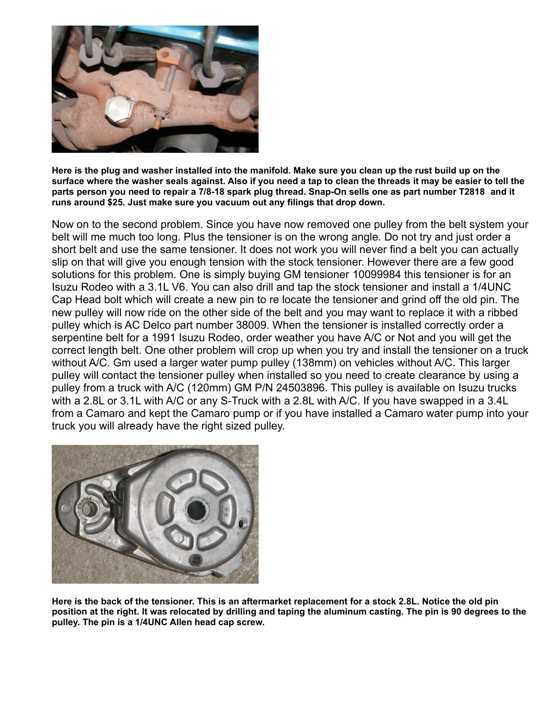

**Here is the plug and washer installed into the manifold. Make sure you clean up the rust build up on the surface where the washer seals against. Also if you need a tap to clean the threads it may be easier to tell the parts person you need to repair a 7/8-18 spark plug thread. Snap-On sells one as part number T2818 and it runs around \$25. Just make sure you vacuum out any filings that drop down.** 

Now on to the second problem. Since you have now removed one pulley from the belt system your belt will me much too long. Plus the tensioner is on the wrong angle. Do not try and just order a short belt and use the same tensioner. It does not work you will never find a belt you can actually slip on that will give you enough tension with the stock tensioner. However there are a few good solutions for this problem. One is simply buying GM tensioner 10099984 this tensioner is for an Isuzu Rodeo with a 3.1L V6. You can also drill and tap the stock tensioner and install a 1/4UNC Cap Head bolt which will create a new pin to re locate the tensioner and grind off the old pin. The new pulley will now ride on the other side of the belt and you may want to replace it with a ribbed pulley which is AC Delco part number 38009. When the tensioner is installed correctly order a serpentine belt for a 1991 Isuzu Rodeo, order weather you have A/C or Not and you will get the correct length belt. One other problem will crop up when you try and install the tensioner on a truck without A/C. Gm used a larger water pump pulley (138mm) on vehicles without A/C. This larger pulley will contact the tensioner pulley when installed so you need to create clearance by using a pulley from a truck with A/C (120mm) GM P/N 24503896. This pulley is available on Isuzu trucks with a 2.8L or 3.1L with A/C or any S-Truck with a 2.8L with A/C. If you have swapped in a 3.4L from a Camaro and kept the Camaro pump or if you have installed a Camaro water pump into your truck you will already have the right sized pulley.



**Here is the back of the tensioner. This is an aftermarket replacement for a stock 2.8L. Notice the old pin position at the right. It was relocated by drilling and taping the aluminum casting. The pin is 90 degrees to the pulley. The pin is a 1/4UNC Allen head cap screw.**